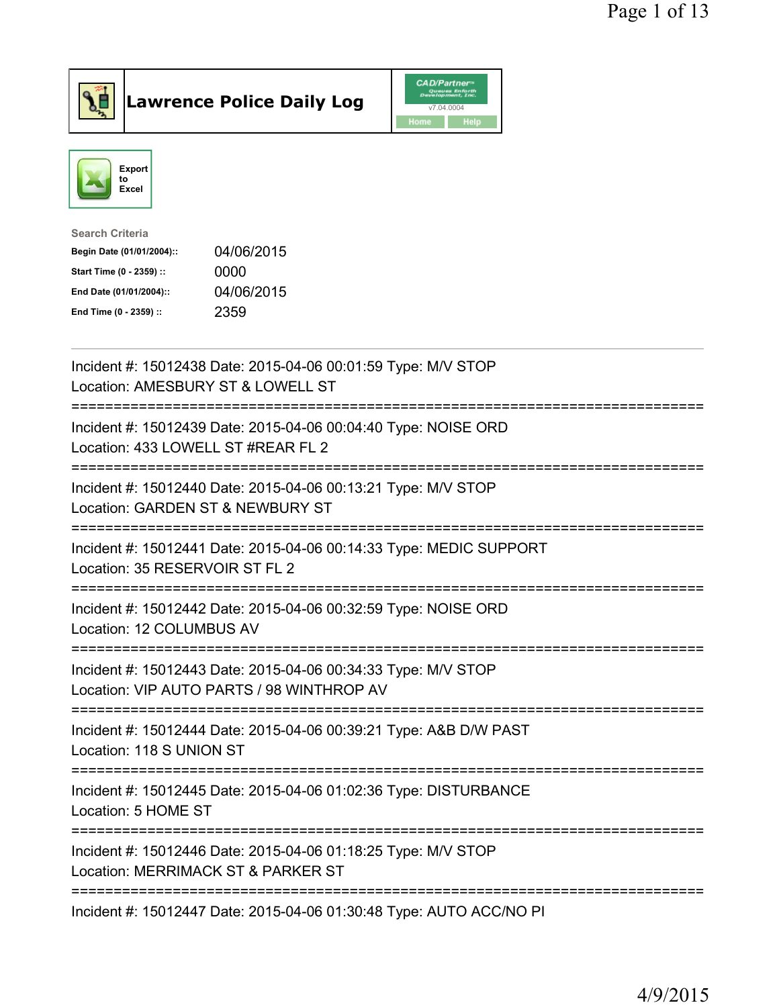

## $\vert$ Lawrence Police Daily Log

|      | <b>CAD/Partner</b> <sup>*</sup><br>Queues Enforth<br>Development, Inc. |
|------|------------------------------------------------------------------------|
|      | v7.04.0004                                                             |
| Home | Help                                                                   |



| Search Criteria           |            |
|---------------------------|------------|
| Begin Date (01/01/2004):: | 04/06/2015 |
| Start Time (0 - 2359) ::  | 0000       |
| End Date (01/01/2004)::   | 04/06/2015 |
| End Time (0 - 2359) ::    | 2359       |
|                           |            |

| Incident #: 15012438 Date: 2015-04-06 00:01:59 Type: M/V STOP<br>Location: AMESBURY ST & LOWELL ST                                          |
|---------------------------------------------------------------------------------------------------------------------------------------------|
| Incident #: 15012439 Date: 2015-04-06 00:04:40 Type: NOISE ORD<br>Location: 433 LOWELL ST #REAR FL 2                                        |
| Incident #: 15012440 Date: 2015-04-06 00:13:21 Type: M/V STOP<br>Location: GARDEN ST & NEWBURY ST                                           |
| Incident #: 15012441 Date: 2015-04-06 00:14:33 Type: MEDIC SUPPORT<br>Location: 35 RESERVOIR ST FL 2                                        |
| Incident #: 15012442 Date: 2015-04-06 00:32:59 Type: NOISE ORD<br>Location: 12 COLUMBUS AV<br>----------                                    |
| Incident #: 15012443 Date: 2015-04-06 00:34:33 Type: M/V STOP<br>Location: VIP AUTO PARTS / 98 WINTHROP AV<br>============================= |
| Incident #: 15012444 Date: 2015-04-06 00:39:21 Type: A&B D/W PAST<br>Location: 118 S UNION ST                                               |
| Incident #: 15012445 Date: 2015-04-06 01:02:36 Type: DISTURBANCE<br>Location: 5 HOME ST<br>------------------------------------             |
| Incident #: 15012446 Date: 2015-04-06 01:18:25 Type: M/V STOP<br>Location: MERRIMACK ST & PARKER ST                                         |
| Incident #: 15012447 Date: 2015-04-06 01:30:48 Type: AUTO ACC/NO PI                                                                         |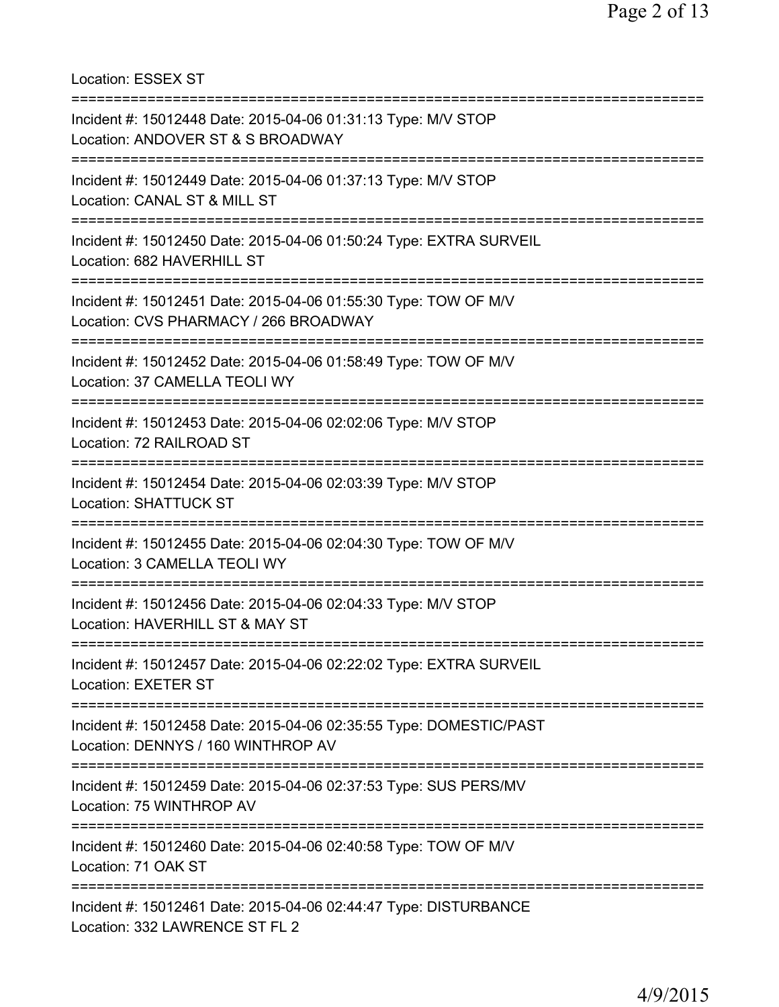Location: ESSEX ST =========================================================================== Incident #: 15012448 Date: 2015-04-06 01:31:13 Type: M/V STOP Location: ANDOVER ST & S BROADWAY =========================================================================== Incident #: 15012449 Date: 2015-04-06 01:37:13 Type: M/V STOP Location: CANAL ST & MILL ST =========================================================================== Incident #: 15012450 Date: 2015-04-06 01:50:24 Type: EXTRA SURVEIL Location: 682 HAVERHILL ST =========================================================================== Incident #: 15012451 Date: 2015-04-06 01:55:30 Type: TOW OF M/V Location: CVS PHARMACY / 266 BROADWAY =========================================================================== Incident #: 15012452 Date: 2015-04-06 01:58:49 Type: TOW OF M/V Location: 37 CAMELLA TEOLI WY =========================================================================== Incident #: 15012453 Date: 2015-04-06 02:02:06 Type: M/V STOP Location: 72 RAILROAD ST =========================================================================== Incident #: 15012454 Date: 2015-04-06 02:03:39 Type: M/V STOP Location: SHATTUCK ST =========================================================================== Incident #: 15012455 Date: 2015-04-06 02:04:30 Type: TOW OF M/V Location: 3 CAMELLA TEOLI WY =========================================================================== Incident #: 15012456 Date: 2015-04-06 02:04:33 Type: M/V STOP Location: HAVERHILL ST & MAY ST =========================================================================== Incident #: 15012457 Date: 2015-04-06 02:22:02 Type: EXTRA SURVEIL Location: EXETER ST =========================================================================== Incident #: 15012458 Date: 2015-04-06 02:35:55 Type: DOMESTIC/PAST Location: DENNYS / 160 WINTHROP AV =========================================================================== Incident #: 15012459 Date: 2015-04-06 02:37:53 Type: SUS PERS/MV Location: 75 WINTHROP AV =========================================================================== Incident #: 15012460 Date: 2015-04-06 02:40:58 Type: TOW OF M/V Location: 71 OAK ST =========================================================================== Incident #: 15012461 Date: 2015-04-06 02:44:47 Type: DISTURBANCE Location: 332 LAWRENCE ST FL 2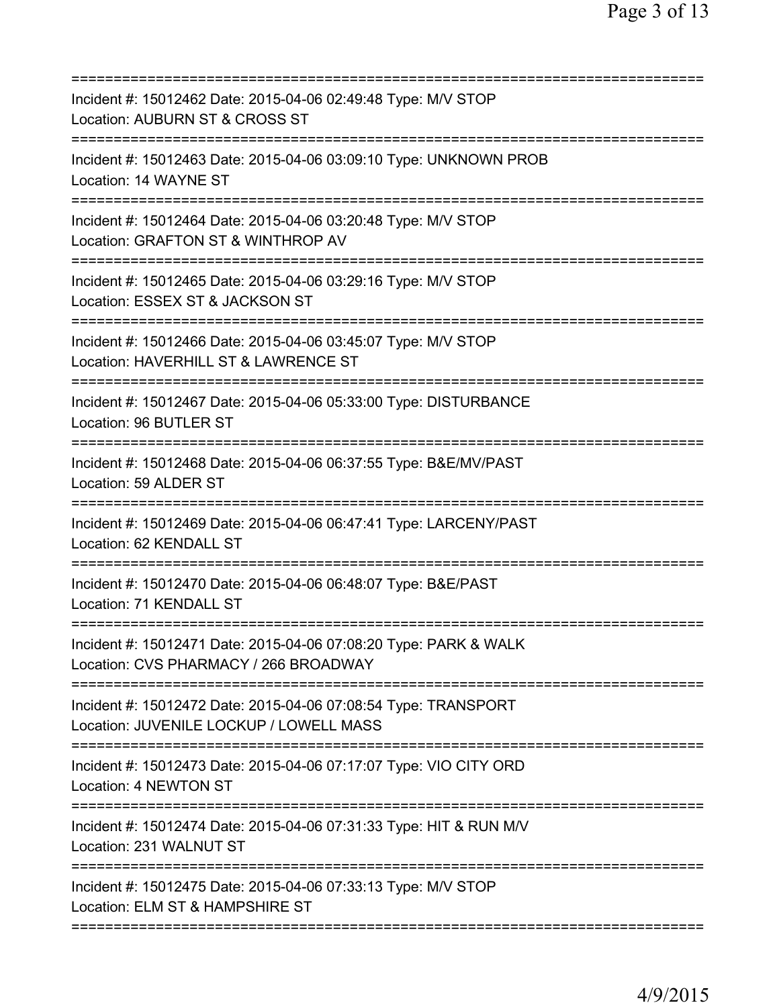| Incident #: 15012462 Date: 2015-04-06 02:49:48 Type: M/V STOP<br>Location: AUBURN ST & CROSS ST                                   |
|-----------------------------------------------------------------------------------------------------------------------------------|
| Incident #: 15012463 Date: 2015-04-06 03:09:10 Type: UNKNOWN PROB<br>Location: 14 WAYNE ST                                        |
| Incident #: 15012464 Date: 2015-04-06 03:20:48 Type: M/V STOP<br>Location: GRAFTON ST & WINTHROP AV<br>;========================= |
| Incident #: 15012465 Date: 2015-04-06 03:29:16 Type: M/V STOP<br>Location: ESSEX ST & JACKSON ST                                  |
| =======================<br>Incident #: 15012466 Date: 2015-04-06 03:45:07 Type: M/V STOP<br>Location: HAVERHILL ST & LAWRENCE ST  |
| Incident #: 15012467 Date: 2015-04-06 05:33:00 Type: DISTURBANCE<br>Location: 96 BUTLER ST                                        |
| Incident #: 15012468 Date: 2015-04-06 06:37:55 Type: B&E/MV/PAST<br>Location: 59 ALDER ST                                         |
| Incident #: 15012469 Date: 2015-04-06 06:47:41 Type: LARCENY/PAST<br>Location: 62 KENDALL ST                                      |
| Incident #: 15012470 Date: 2015-04-06 06:48:07 Type: B&E/PAST<br>Location: 71 KENDALL ST                                          |
| Incident #: 15012471 Date: 2015-04-06 07:08:20 Type: PARK & WALK<br>Location: CVS PHARMACY / 266 BROADWAY                         |
| Incident #: 15012472 Date: 2015-04-06 07:08:54 Type: TRANSPORT<br>Location: JUVENILE LOCKUP / LOWELL MASS                         |
| Incident #: 15012473 Date: 2015-04-06 07:17:07 Type: VIO CITY ORD<br>Location: 4 NEWTON ST                                        |
| Incident #: 15012474 Date: 2015-04-06 07:31:33 Type: HIT & RUN M/V<br>Location: 231 WALNUT ST                                     |
| Incident #: 15012475 Date: 2015-04-06 07:33:13 Type: M/V STOP<br>Location: ELM ST & HAMPSHIRE ST                                  |
|                                                                                                                                   |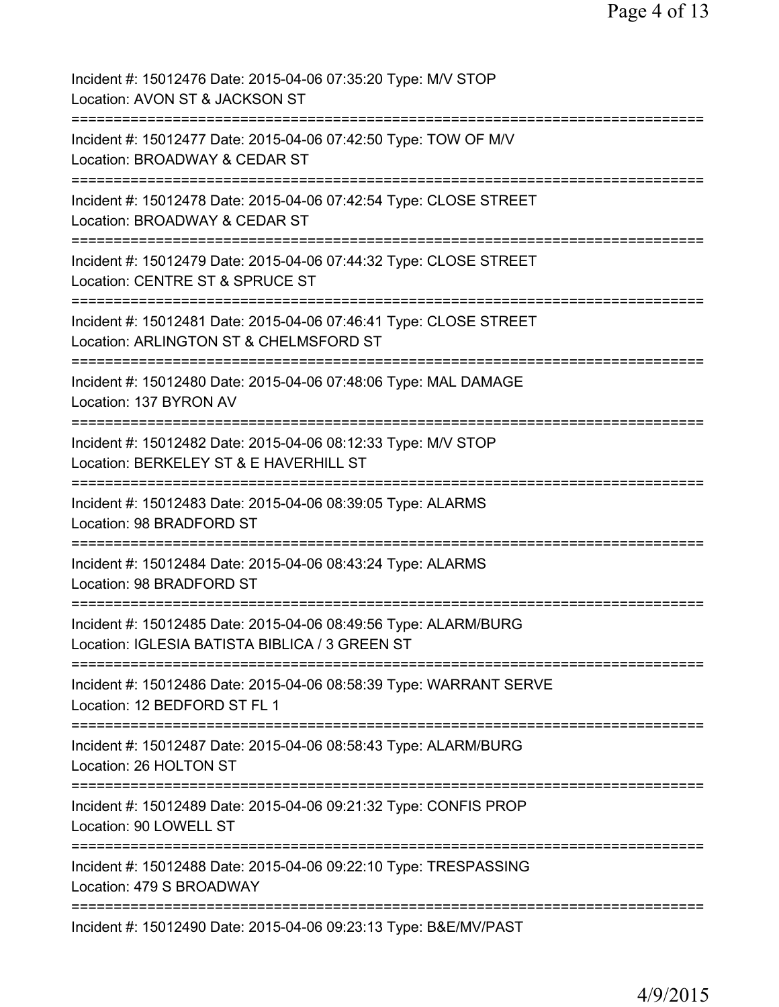| Incident #: 15012476 Date: 2015-04-06 07:35:20 Type: M/V STOP<br>Location: AVON ST & JACKSON ST                                  |
|----------------------------------------------------------------------------------------------------------------------------------|
| Incident #: 15012477 Date: 2015-04-06 07:42:50 Type: TOW OF M/V<br>Location: BROADWAY & CEDAR ST                                 |
| Incident #: 15012478 Date: 2015-04-06 07:42:54 Type: CLOSE STREET<br>Location: BROADWAY & CEDAR ST                               |
| Incident #: 15012479 Date: 2015-04-06 07:44:32 Type: CLOSE STREET<br>Location: CENTRE ST & SPRUCE ST                             |
| Incident #: 15012481 Date: 2015-04-06 07:46:41 Type: CLOSE STREET<br>Location: ARLINGTON ST & CHELMSFORD ST                      |
| Incident #: 15012480 Date: 2015-04-06 07:48:06 Type: MAL DAMAGE<br>Location: 137 BYRON AV                                        |
| Incident #: 15012482 Date: 2015-04-06 08:12:33 Type: M/V STOP<br>Location: BERKELEY ST & E HAVERHILL ST                          |
| Incident #: 15012483 Date: 2015-04-06 08:39:05 Type: ALARMS<br>Location: 98 BRADFORD ST                                          |
| ;====================================<br>Incident #: 15012484 Date: 2015-04-06 08:43:24 Type: ALARMS<br>Location: 98 BRADFORD ST |
| Incident #: 15012485 Date: 2015-04-06 08:49:56 Type: ALARM/BURG<br>Location: IGLESIA BATISTA BIBLICA / 3 GREEN ST                |
| Incident #: 15012486 Date: 2015-04-06 08:58:39 Type: WARRANT SERVE<br>Location: 12 BEDFORD ST FL 1                               |
| Incident #: 15012487 Date: 2015-04-06 08:58:43 Type: ALARM/BURG<br>Location: 26 HOLTON ST                                        |
| Incident #: 15012489 Date: 2015-04-06 09:21:32 Type: CONFIS PROP<br>Location: 90 LOWELL ST                                       |
| Incident #: 15012488 Date: 2015-04-06 09:22:10 Type: TRESPASSING<br>Location: 479 S BROADWAY                                     |
| Incident #: 15012490 Date: 2015-04-06 09:23:13 Type: B&E/MV/PAST                                                                 |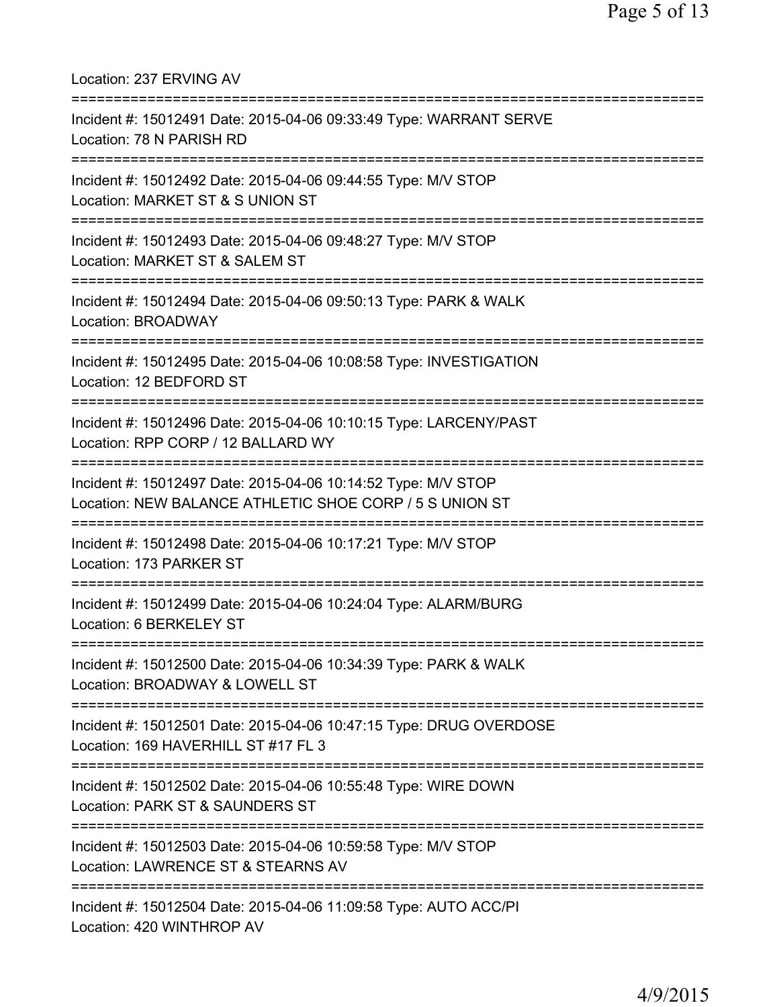| Location: 237 ERVING AV                                                                                                              |
|--------------------------------------------------------------------------------------------------------------------------------------|
| Incident #: 15012491 Date: 2015-04-06 09:33:49 Type: WARRANT SERVE<br>Location: 78 N PARISH RD                                       |
| Incident #: 15012492 Date: 2015-04-06 09:44:55 Type: M/V STOP<br>Location: MARKET ST & S UNION ST                                    |
| Incident #: 15012493 Date: 2015-04-06 09:48:27 Type: M/V STOP<br>Location: MARKET ST & SALEM ST                                      |
| Incident #: 15012494 Date: 2015-04-06 09:50:13 Type: PARK & WALK<br><b>Location: BROADWAY</b>                                        |
| Incident #: 15012495 Date: 2015-04-06 10:08:58 Type: INVESTIGATION<br>Location: 12 BEDFORD ST                                        |
| Incident #: 15012496 Date: 2015-04-06 10:10:15 Type: LARCENY/PAST<br>Location: RPP CORP / 12 BALLARD WY                              |
| Incident #: 15012497 Date: 2015-04-06 10:14:52 Type: M/V STOP<br>Location: NEW BALANCE ATHLETIC SHOE CORP / 5 S UNION ST             |
| Incident #: 15012498 Date: 2015-04-06 10:17:21 Type: M/V STOP<br>Location: 173 PARKER ST                                             |
| Incident #: 15012499 Date: 2015-04-06 10:24:04 Type: ALARM/BURG<br>Location: 6 BERKELEY ST                                           |
| Incident #: 15012500 Date: 2015-04-06 10:34:39 Type: PARK & WALK<br>Location: BROADWAY & LOWELL ST                                   |
| =======================<br>Incident #: 15012501 Date: 2015-04-06 10:47:15 Type: DRUG OVERDOSE<br>Location: 169 HAVERHILL ST #17 FL 3 |
| Incident #: 15012502 Date: 2015-04-06 10:55:48 Type: WIRE DOWN<br>Location: PARK ST & SAUNDERS ST                                    |
| Incident #: 15012503 Date: 2015-04-06 10:59:58 Type: M/V STOP<br>Location: LAWRENCE ST & STEARNS AV                                  |
| Incident #: 15012504 Date: 2015-04-06 11:09:58 Type: AUTO ACC/PI<br>Location: 420 WINTHROP AV                                        |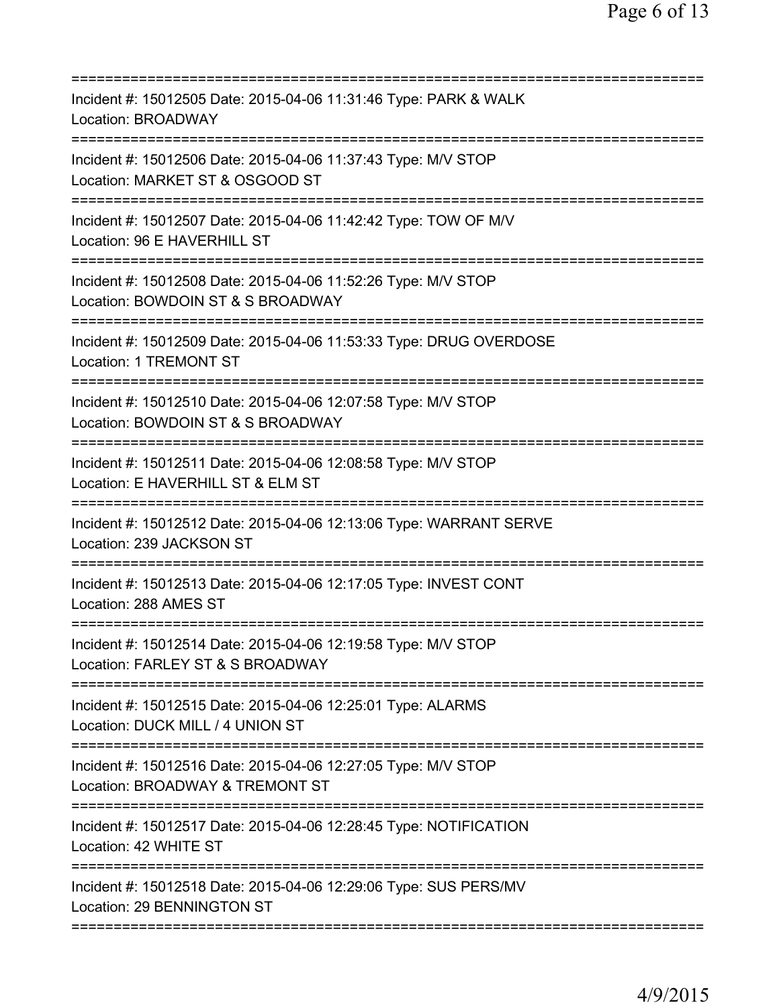| Incident #: 15012505 Date: 2015-04-06 11:31:46 Type: PARK & WALK<br>Location: BROADWAY                                                                                      |
|-----------------------------------------------------------------------------------------------------------------------------------------------------------------------------|
| Incident #: 15012506 Date: 2015-04-06 11:37:43 Type: M/V STOP<br>Location: MARKET ST & OSGOOD ST                                                                            |
| Incident #: 15012507 Date: 2015-04-06 11:42:42 Type: TOW OF M/V<br>Location: 96 E HAVERHILL ST                                                                              |
| Incident #: 15012508 Date: 2015-04-06 11:52:26 Type: M/V STOP<br>Location: BOWDOIN ST & S BROADWAY                                                                          |
| Incident #: 15012509 Date: 2015-04-06 11:53:33 Type: DRUG OVERDOSE<br>Location: 1 TREMONT ST                                                                                |
| =====================================<br>Incident #: 15012510 Date: 2015-04-06 12:07:58 Type: M/V STOP<br>Location: BOWDOIN ST & S BROADWAY<br>============================ |
| Incident #: 15012511 Date: 2015-04-06 12:08:58 Type: M/V STOP<br>Location: E HAVERHILL ST & ELM ST<br>======================                                                |
| Incident #: 15012512 Date: 2015-04-06 12:13:06 Type: WARRANT SERVE<br>Location: 239 JACKSON ST                                                                              |
| Incident #: 15012513 Date: 2015-04-06 12:17:05 Type: INVEST CONT<br>Location: 288 AMES ST                                                                                   |
| Incident #: 15012514 Date: 2015-04-06 12:19:58 Type: M/V STOP<br>Location: FARLEY ST & S BROADWAY                                                                           |
| Incident #: 15012515 Date: 2015-04-06 12:25:01 Type: ALARMS<br>Location: DUCK MILL / 4 UNION ST                                                                             |
| Incident #: 15012516 Date: 2015-04-06 12:27:05 Type: M/V STOP<br>Location: BROADWAY & TREMONT ST                                                                            |
| Incident #: 15012517 Date: 2015-04-06 12:28:45 Type: NOTIFICATION<br>Location: 42 WHITE ST                                                                                  |
| Incident #: 15012518 Date: 2015-04-06 12:29:06 Type: SUS PERS/MV<br>Location: 29 BENNINGTON ST                                                                              |
|                                                                                                                                                                             |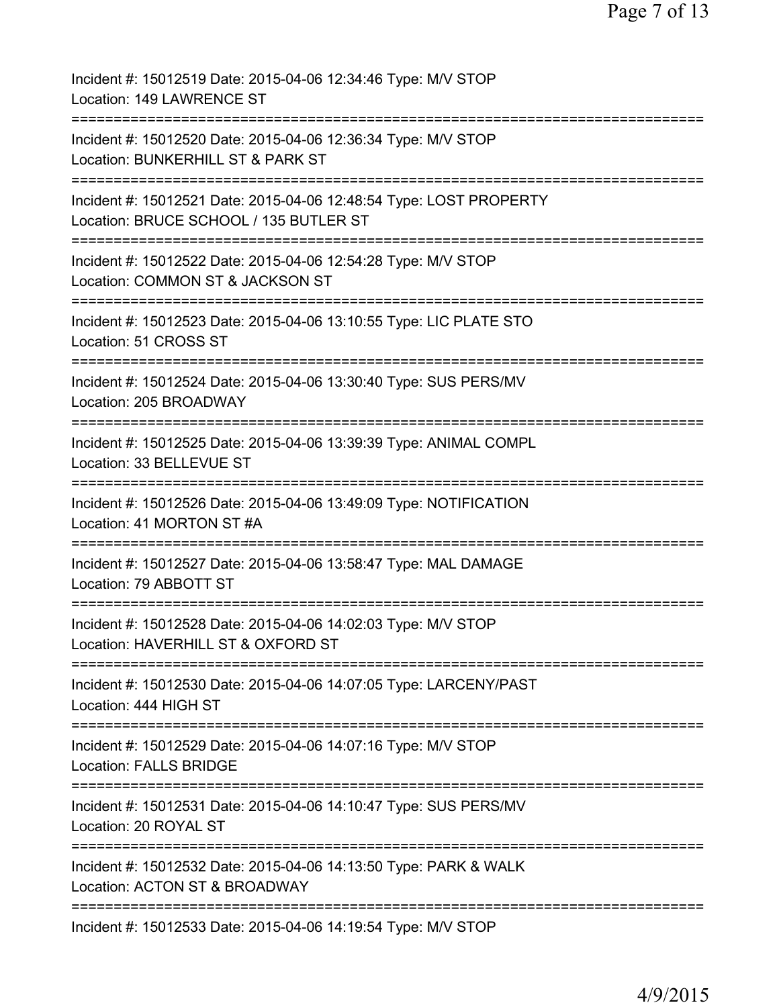| Incident #: 15012519 Date: 2015-04-06 12:34:46 Type: M/V STOP<br>Location: 149 LAWRENCE ST                          |
|---------------------------------------------------------------------------------------------------------------------|
| Incident #: 15012520 Date: 2015-04-06 12:36:34 Type: M/V STOP<br>Location: BUNKERHILL ST & PARK ST                  |
| Incident #: 15012521 Date: 2015-04-06 12:48:54 Type: LOST PROPERTY<br>Location: BRUCE SCHOOL / 135 BUTLER ST        |
| Incident #: 15012522 Date: 2015-04-06 12:54:28 Type: M/V STOP<br>Location: COMMON ST & JACKSON ST                   |
| ====================<br>Incident #: 15012523 Date: 2015-04-06 13:10:55 Type: LIC PLATE STO<br>Location: 51 CROSS ST |
| Incident #: 15012524 Date: 2015-04-06 13:30:40 Type: SUS PERS/MV<br>Location: 205 BROADWAY                          |
| Incident #: 15012525 Date: 2015-04-06 13:39:39 Type: ANIMAL COMPL<br>Location: 33 BELLEVUE ST                       |
| Incident #: 15012526 Date: 2015-04-06 13:49:09 Type: NOTIFICATION<br>Location: 41 MORTON ST #A                      |
| Incident #: 15012527 Date: 2015-04-06 13:58:47 Type: MAL DAMAGE<br>Location: 79 ABBOTT ST                           |
| Incident #: 15012528 Date: 2015-04-06 14:02:03 Type: M/V STOP<br>Location: HAVERHILL ST & OXFORD ST                 |
| Incident #: 15012530 Date: 2015-04-06 14:07:05 Type: LARCENY/PAST<br>Location: 444 HIGH ST                          |
| Incident #: 15012529 Date: 2015-04-06 14:07:16 Type: M/V STOP<br><b>Location: FALLS BRIDGE</b>                      |
| Incident #: 15012531 Date: 2015-04-06 14:10:47 Type: SUS PERS/MV<br>Location: 20 ROYAL ST                           |
| Incident #: 15012532 Date: 2015-04-06 14:13:50 Type: PARK & WALK<br>Location: ACTON ST & BROADWAY                   |
| Incident #: 15012533 Date: 2015-04-06 14:19:54 Type: M/V STOP                                                       |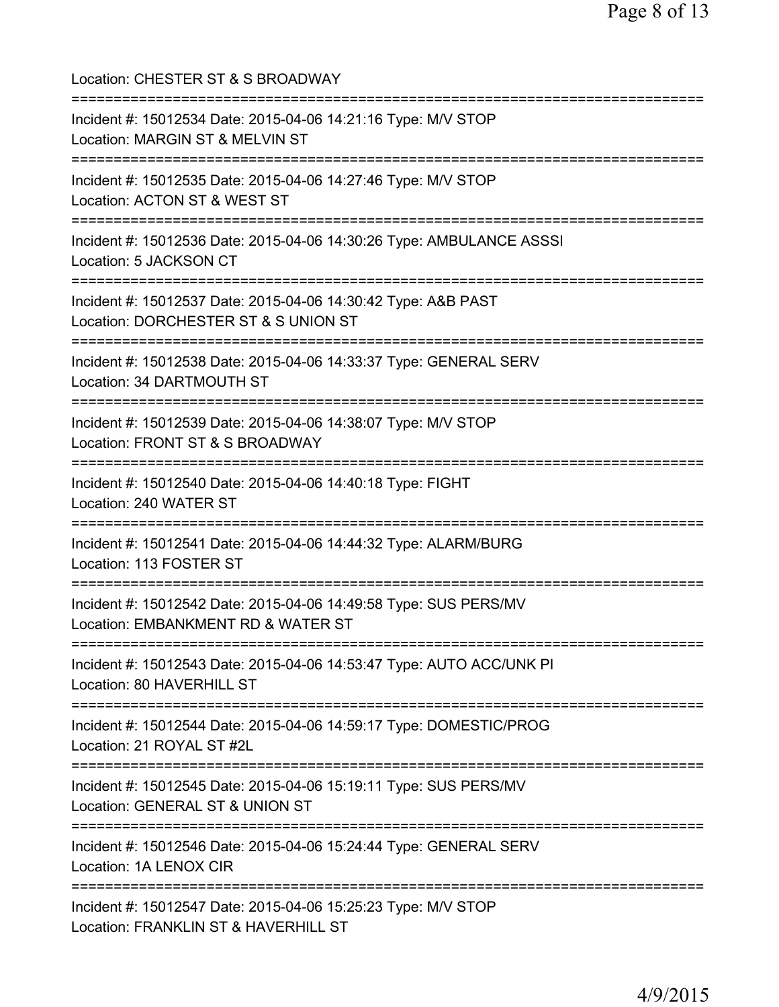| Location: CHESTER ST & S BROADWAY                                                                                                              |
|------------------------------------------------------------------------------------------------------------------------------------------------|
| Incident #: 15012534 Date: 2015-04-06 14:21:16 Type: M/V STOP<br>Location: MARGIN ST & MELVIN ST                                               |
| Incident #: 15012535 Date: 2015-04-06 14:27:46 Type: M/V STOP<br>Location: ACTON ST & WEST ST                                                  |
| Incident #: 15012536 Date: 2015-04-06 14:30:26 Type: AMBULANCE ASSSI<br>Location: 5 JACKSON CT                                                 |
| Incident #: 15012537 Date: 2015-04-06 14:30:42 Type: A&B PAST<br>Location: DORCHESTER ST & S UNION ST                                          |
| Incident #: 15012538 Date: 2015-04-06 14:33:37 Type: GENERAL SERV<br>Location: 34 DARTMOUTH ST<br>-------------------------------              |
| Incident #: 15012539 Date: 2015-04-06 14:38:07 Type: M/V STOP<br>Location: FRONT ST & S BROADWAY<br>:========================                  |
| Incident #: 15012540 Date: 2015-04-06 14:40:18 Type: FIGHT<br>Location: 240 WATER ST                                                           |
| Incident #: 15012541 Date: 2015-04-06 14:44:32 Type: ALARM/BURG<br>Location: 113 FOSTER ST                                                     |
| Incident #: 15012542 Date: 2015-04-06 14:49:58 Type: SUS PERS/MV<br>Location: EMBANKMENT RD & WATER ST                                         |
| Incident #: 15012543 Date: 2015-04-06 14:53:47 Type: AUTO ACC/UNK PI<br>Location: 80 HAVERHILL ST                                              |
| Incident #: 15012544 Date: 2015-04-06 14:59:17 Type: DOMESTIC/PROG<br>Location: 21 ROYAL ST #2L                                                |
| Incident #: 15012545 Date: 2015-04-06 15:19:11 Type: SUS PERS/MV<br>Location: GENERAL ST & UNION ST                                            |
| Incident #: 15012546 Date: 2015-04-06 15:24:44 Type: GENERAL SERV<br>Location: 1A LENOX CIR                                                    |
| =====================================<br>Incident #: 15012547 Date: 2015-04-06 15:25:23 Type: M/V STOP<br>Location: FRANKLIN ST & HAVERHILL ST |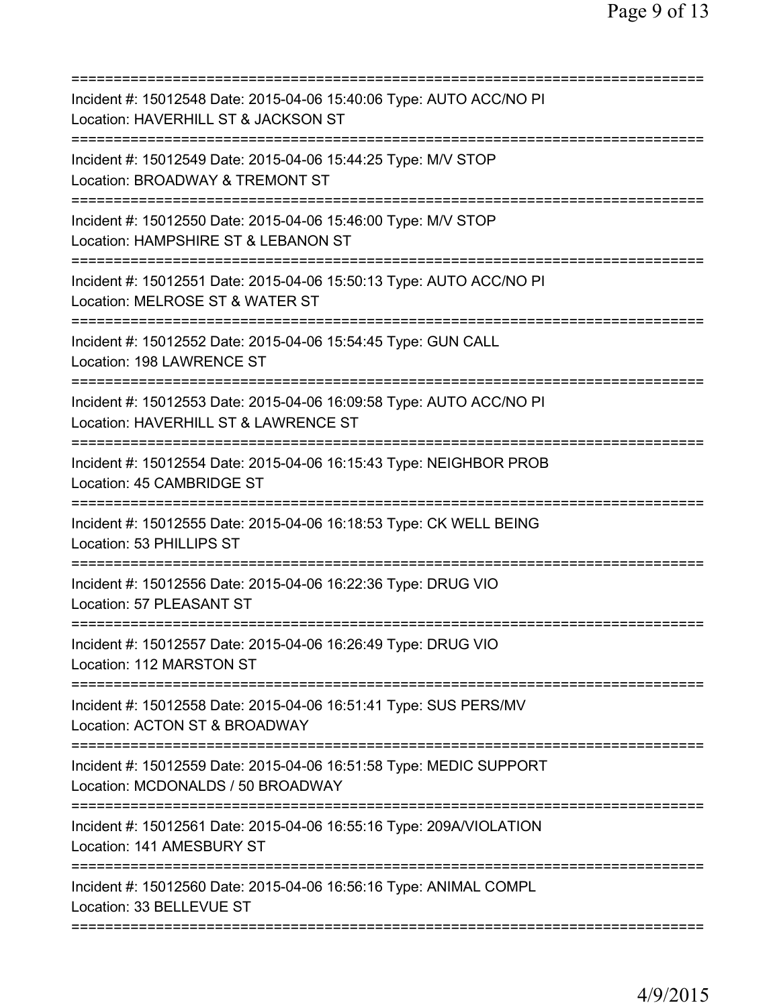| Incident #: 15012548 Date: 2015-04-06 15:40:06 Type: AUTO ACC/NO PI<br>Location: HAVERHILL ST & JACKSON ST  |
|-------------------------------------------------------------------------------------------------------------|
| Incident #: 15012549 Date: 2015-04-06 15:44:25 Type: M/V STOP<br>Location: BROADWAY & TREMONT ST            |
| Incident #: 15012550 Date: 2015-04-06 15:46:00 Type: M/V STOP<br>Location: HAMPSHIRE ST & LEBANON ST        |
| Incident #: 15012551 Date: 2015-04-06 15:50:13 Type: AUTO ACC/NO PI<br>Location: MELROSE ST & WATER ST      |
| Incident #: 15012552 Date: 2015-04-06 15:54:45 Type: GUN CALL<br>Location: 198 LAWRENCE ST                  |
| Incident #: 15012553 Date: 2015-04-06 16:09:58 Type: AUTO ACC/NO PI<br>Location: HAVERHILL ST & LAWRENCE ST |
| Incident #: 15012554 Date: 2015-04-06 16:15:43 Type: NEIGHBOR PROB<br>Location: 45 CAMBRIDGE ST             |
| Incident #: 15012555 Date: 2015-04-06 16:18:53 Type: CK WELL BEING<br>Location: 53 PHILLIPS ST              |
| Incident #: 15012556 Date: 2015-04-06 16:22:36 Type: DRUG VIO<br>Location: 57 PLEASANT ST                   |
| Incident #: 15012557 Date: 2015-04-06 16:26:49 Type: DRUG VIO<br>Location: 112 MARSTON ST                   |
| Incident #: 15012558 Date: 2015-04-06 16:51:41 Type: SUS PERS/MV<br>Location: ACTON ST & BROADWAY           |
| Incident #: 15012559 Date: 2015-04-06 16:51:58 Type: MEDIC SUPPORT<br>Location: MCDONALDS / 50 BROADWAY     |
| Incident #: 15012561 Date: 2015-04-06 16:55:16 Type: 209A/VIOLATION<br>Location: 141 AMESBURY ST            |
| Incident #: 15012560 Date: 2015-04-06 16:56:16 Type: ANIMAL COMPL<br>Location: 33 BELLEVUE ST               |
|                                                                                                             |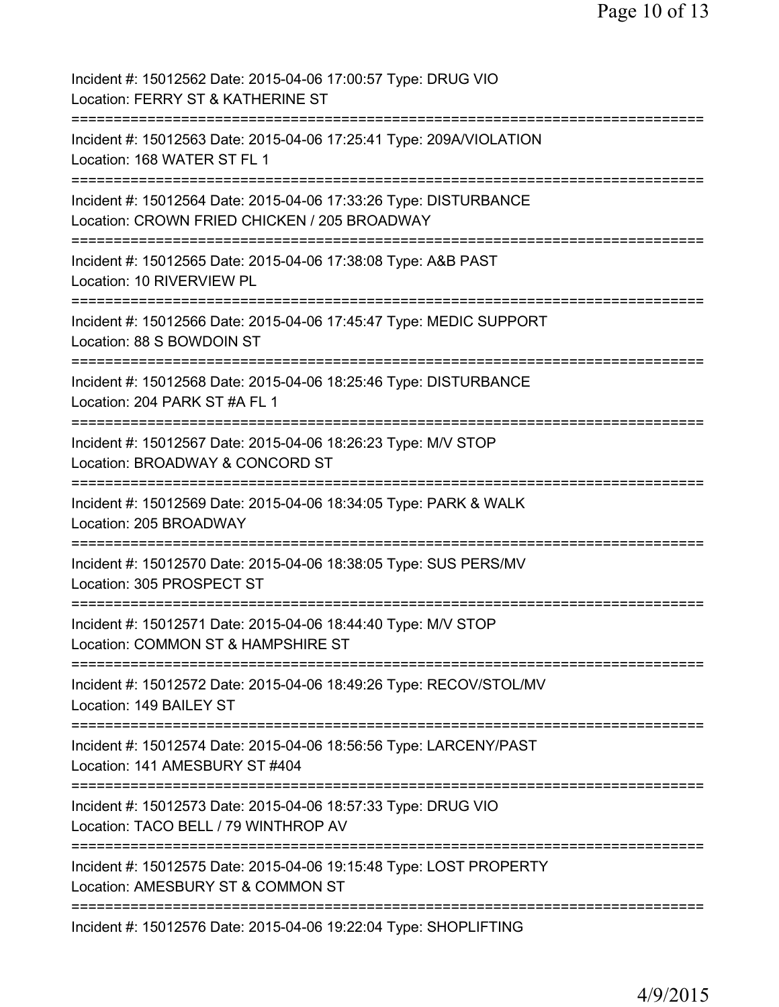| Incident #: 15012562 Date: 2015-04-06 17:00:57 Type: DRUG VIO<br>Location: FERRY ST & KATHERINE ST               |
|------------------------------------------------------------------------------------------------------------------|
| Incident #: 15012563 Date: 2015-04-06 17:25:41 Type: 209A/VIOLATION<br>Location: 168 WATER ST FL 1               |
| Incident #: 15012564 Date: 2015-04-06 17:33:26 Type: DISTURBANCE<br>Location: CROWN FRIED CHICKEN / 205 BROADWAY |
| Incident #: 15012565 Date: 2015-04-06 17:38:08 Type: A&B PAST<br>Location: 10 RIVERVIEW PL                       |
| Incident #: 15012566 Date: 2015-04-06 17:45:47 Type: MEDIC SUPPORT<br>Location: 88 S BOWDOIN ST                  |
| Incident #: 15012568 Date: 2015-04-06 18:25:46 Type: DISTURBANCE<br>Location: 204 PARK ST #A FL 1                |
| Incident #: 15012567 Date: 2015-04-06 18:26:23 Type: M/V STOP<br>Location: BROADWAY & CONCORD ST                 |
| Incident #: 15012569 Date: 2015-04-06 18:34:05 Type: PARK & WALK<br>Location: 205 BROADWAY                       |
| Incident #: 15012570 Date: 2015-04-06 18:38:05 Type: SUS PERS/MV<br>Location: 305 PROSPECT ST                    |
| Incident #: 15012571 Date: 2015-04-06 18:44:40 Type: M/V STOP<br>Location: COMMON ST & HAMPSHIRE ST              |
| Incident #: 15012572 Date: 2015-04-06 18:49:26 Type: RECOV/STOL/MV<br>Location: 149 BAILEY ST                    |
| Incident #: 15012574 Date: 2015-04-06 18:56:56 Type: LARCENY/PAST<br>Location: 141 AMESBURY ST #404              |
| Incident #: 15012573 Date: 2015-04-06 18:57:33 Type: DRUG VIO<br>Location: TACO BELL / 79 WINTHROP AV            |
| Incident #: 15012575 Date: 2015-04-06 19:15:48 Type: LOST PROPERTY<br>Location: AMESBURY ST & COMMON ST          |
| Incident #: 15012576 Date: 2015-04-06 19:22:04 Type: SHOPLIFTING                                                 |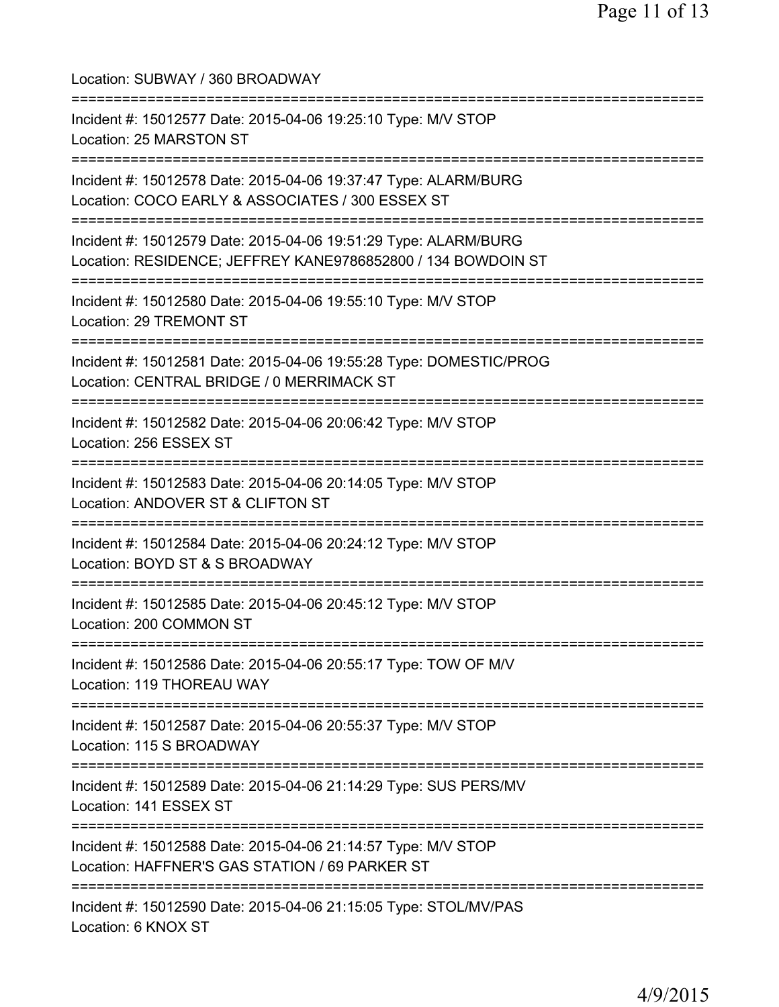Location: SUBWAY / 360 BROADWAY =========================================================================== Incident #: 15012577 Date: 2015-04-06 19:25:10 Type: M/V STOP Location: 25 MARSTON ST =========================================================================== Incident #: 15012578 Date: 2015-04-06 19:37:47 Type: ALARM/BURG Location: COCO EARLY & ASSOCIATES / 300 ESSEX ST =========================================================================== Incident #: 15012579 Date: 2015-04-06 19:51:29 Type: ALARM/BURG Location: RESIDENCE; JEFFREY KANE9786852800 / 134 BOWDOIN ST =========================================================================== Incident #: 15012580 Date: 2015-04-06 19:55:10 Type: M/V STOP Location: 29 TREMONT ST =========================================================================== Incident #: 15012581 Date: 2015-04-06 19:55:28 Type: DOMESTIC/PROG Location: CENTRAL BRIDGE / 0 MERRIMACK ST =========================================================================== Incident #: 15012582 Date: 2015-04-06 20:06:42 Type: M/V STOP Location: 256 ESSEX ST =========================================================================== Incident #: 15012583 Date: 2015-04-06 20:14:05 Type: M/V STOP Location: ANDOVER ST & CLIFTON ST =========================================================================== Incident #: 15012584 Date: 2015-04-06 20:24:12 Type: M/V STOP Location: BOYD ST & S BROADWAY =========================================================================== Incident #: 15012585 Date: 2015-04-06 20:45:12 Type: M/V STOP Location: 200 COMMON ST =========================================================================== Incident #: 15012586 Date: 2015-04-06 20:55:17 Type: TOW OF M/V Location: 119 THOREAU WAY =========================================================================== Incident #: 15012587 Date: 2015-04-06 20:55:37 Type: M/V STOP Location: 115 S BROADWAY =========================================================================== Incident #: 15012589 Date: 2015-04-06 21:14:29 Type: SUS PERS/MV Location: 141 ESSEX ST =========================================================================== Incident #: 15012588 Date: 2015-04-06 21:14:57 Type: M/V STOP Location: HAFFNER'S GAS STATION / 69 PARKER ST =========================================================================== Incident #: 15012590 Date: 2015-04-06 21:15:05 Type: STOL/MV/PAS Location: 6 KNOX ST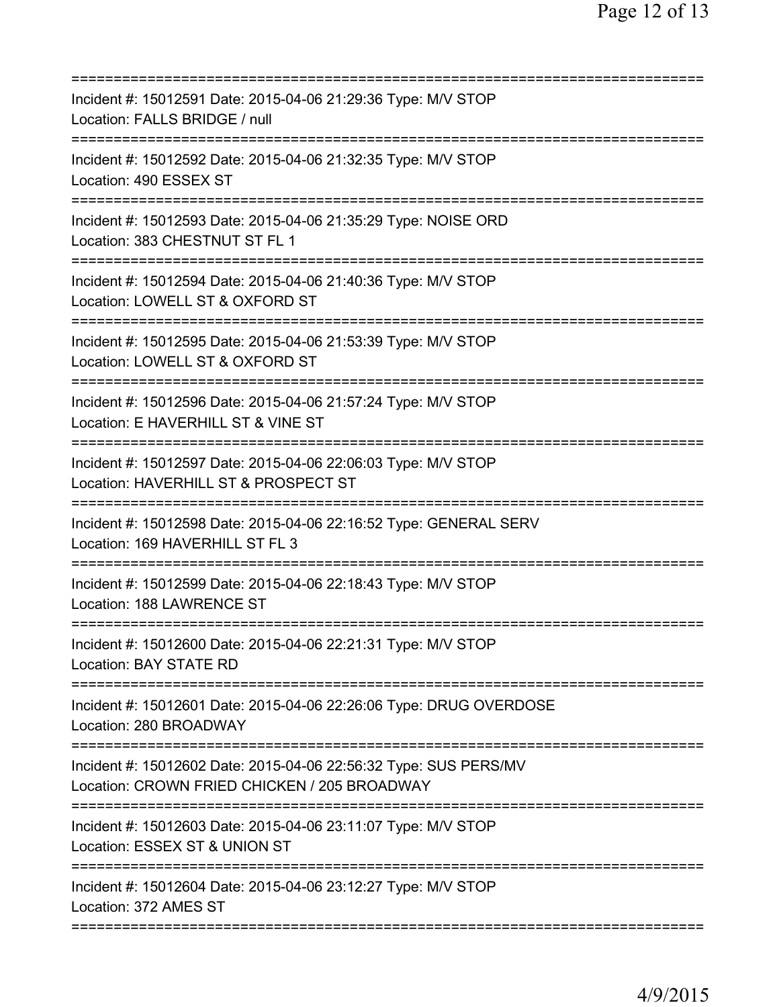| Incident #: 15012591 Date: 2015-04-06 21:29:36 Type: M/V STOP<br>Location: FALLS BRIDGE / null                                     |
|------------------------------------------------------------------------------------------------------------------------------------|
| Incident #: 15012592 Date: 2015-04-06 21:32:35 Type: M/V STOP<br>Location: 490 ESSEX ST                                            |
| Incident #: 15012593 Date: 2015-04-06 21:35:29 Type: NOISE ORD<br>Location: 383 CHESTNUT ST FL 1                                   |
| Incident #: 15012594 Date: 2015-04-06 21:40:36 Type: M/V STOP<br>Location: LOWELL ST & OXFORD ST                                   |
| Incident #: 15012595 Date: 2015-04-06 21:53:39 Type: M/V STOP<br>Location: LOWELL ST & OXFORD ST                                   |
| ;==========================<br>Incident #: 15012596 Date: 2015-04-06 21:57:24 Type: M/V STOP<br>Location: E HAVERHILL ST & VINE ST |
| Incident #: 15012597 Date: 2015-04-06 22:06:03 Type: M/V STOP<br>Location: HAVERHILL ST & PROSPECT ST                              |
| Incident #: 15012598 Date: 2015-04-06 22:16:52 Type: GENERAL SERV<br>Location: 169 HAVERHILL ST FL 3                               |
| Incident #: 15012599 Date: 2015-04-06 22:18:43 Type: M/V STOP<br>Location: 188 LAWRENCE ST                                         |
| Incident #: 15012600 Date: 2015-04-06 22:21:31 Type: M/V STOP<br><b>Location: BAY STATE RD</b>                                     |
| Incident #: 15012601 Date: 2015-04-06 22:26:06 Type: DRUG OVERDOSE<br>Location: 280 BROADWAY                                       |
| Incident #: 15012602 Date: 2015-04-06 22:56:32 Type: SUS PERS/MV<br>Location: CROWN FRIED CHICKEN / 205 BROADWAY                   |
| Incident #: 15012603 Date: 2015-04-06 23:11:07 Type: M/V STOP<br>Location: ESSEX ST & UNION ST                                     |
| Incident #: 15012604 Date: 2015-04-06 23:12:27 Type: M/V STOP<br>Location: 372 AMES ST                                             |
|                                                                                                                                    |